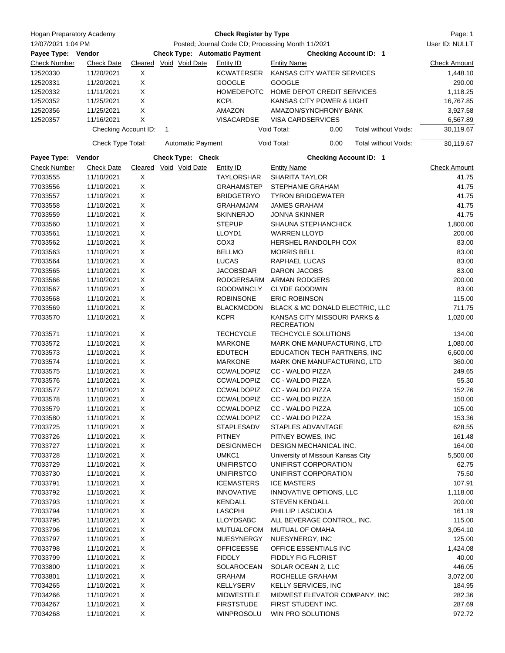| Hogan Preparatory Academy |                      | <b>Check Register by Type</b>                     |                                      |                   |                                                   |                               |                     |
|---------------------------|----------------------|---------------------------------------------------|--------------------------------------|-------------------|---------------------------------------------------|-------------------------------|---------------------|
| 12/07/2021 1:04 PM        |                      | Posted; Journal Code CD; Processing Month 11/2021 |                                      |                   |                                                   | User ID: NULLT                |                     |
| Payee Type: Vendor        |                      |                                                   | <b>Check Type: Automatic Payment</b> |                   |                                                   | <b>Checking Account ID: 1</b> |                     |
| Check Number              | <b>Check Date</b>    |                                                   | Cleared Void Void Date               | Entity ID         | <b>Entity Name</b>                                |                               | <b>Check Amount</b> |
| 12520330                  | 11/20/2021           | X                                                 |                                      | KCWATERSER        | KANSAS CITY WATER SERVICES                        |                               | 1,448.10            |
| 12520331                  | 11/20/2021           | X                                                 |                                      | <b>GOOGLE</b>     | <b>GOOGLE</b>                                     |                               | 290.00              |
| 12520332                  | 11/11/2021           | X                                                 |                                      | <b>HOMEDEPOTC</b> | HOME DEPOT CREDIT SERVICES                        |                               | 1,118.25            |
| 12520352                  | 11/25/2021           | Χ                                                 |                                      | <b>KCPL</b>       | KANSAS CITY POWER & LIGHT                         |                               | 16,767.85           |
| 12520356                  | 11/25/2021           | X                                                 |                                      | AMAZON            | AMAZON/SYNCHRONY BANK                             |                               | 3,927.58            |
| 12520357                  | 11/16/2021           | X                                                 |                                      | <b>VISACARDSE</b> | <b>VISA CARDSERVICES</b>                          |                               | 6,567.89            |
|                           | Checking Account ID: |                                                   | 1                                    |                   | Void Total:<br>0.00                               | Total without Voids:          | 30,119.67           |
|                           | Check Type Total:    |                                                   | <b>Automatic Payment</b>             |                   | Void Total:<br>0.00                               | Total without Voids:          | 30,119.67           |
| Payee Type:               | Vendor               |                                                   | Check Type: Check                    |                   |                                                   | <b>Checking Account ID: 1</b> |                     |
| <b>Check Number</b>       | <b>Check Date</b>    |                                                   | Cleared Void Void Date               | Entity ID         | <b>Entity Name</b>                                |                               | <b>Check Amount</b> |
| 77033555                  | 11/10/2021           | X                                                 |                                      | <b>TAYLORSHAR</b> | <b>SHARITA TAYLOR</b>                             |                               | 41.75               |
| 77033556                  | 11/10/2021           | X                                                 |                                      | <b>GRAHAMSTEP</b> | <b>STEPHANIE GRAHAM</b>                           |                               | 41.75               |
| 77033557                  | 11/10/2021           | X                                                 |                                      | <b>BRIDGETRYO</b> | <b>TYRON BRIDGEWATER</b>                          |                               | 41.75               |
| 77033558                  | 11/10/2021           | Χ                                                 |                                      | GRAHAMJAM         | <b>JAMES GRAHAM</b>                               |                               | 41.75               |
| 77033559                  | 11/10/2021           | X                                                 |                                      | <b>SKINNERJO</b>  | <b>JONNA SKINNER</b>                              |                               | 41.75               |
| 77033560                  | 11/10/2021           | X                                                 |                                      | <b>STEPUP</b>     | <b>SHAUNA STEPHANCHICK</b>                        |                               | 1,800.00            |
| 77033561                  | 11/10/2021           | X                                                 |                                      | LLOYD1            | <b>WARREN LLOYD</b>                               |                               | 200.00              |
| 77033562                  | 11/10/2021           | X                                                 |                                      | COX <sub>3</sub>  | HERSHEL RANDOLPH COX                              |                               | 83.00               |
| 77033563                  | 11/10/2021           | X                                                 |                                      | <b>BELLMO</b>     | <b>MORRIS BELL</b>                                |                               | 83.00               |
| 77033564                  | 11/10/2021           | X                                                 |                                      | LUCAS             | RAPHAEL LUCAS                                     |                               | 83.00               |
| 77033565                  | 11/10/2021           | X                                                 |                                      | <b>JACOBSDAR</b>  | DARON JACOBS                                      |                               | 83.00               |
| 77033566                  | 11/10/2021           | X                                                 |                                      | RODGERSARM        | <b>ARMAN RODGERS</b>                              |                               | 200.00              |
| 77033567                  | 11/10/2021           | Χ                                                 |                                      | <b>GOODWINCLY</b> | <b>CLYDE GOODWIN</b>                              |                               | 83.00               |
| 77033568                  | 11/10/2021           | X                                                 |                                      | <b>ROBINSONE</b>  | <b>ERIC ROBINSON</b>                              |                               | 115.00              |
|                           |                      |                                                   |                                      |                   |                                                   |                               |                     |
| 77033569                  | 11/10/2021           | X                                                 |                                      | <b>BLACKMCDON</b> | BLACK & MC DONALD ELECTRIC, LLC                   |                               | 711.75              |
| 77033570                  | 11/10/2021           | X                                                 |                                      | <b>KCPR</b>       | KANSAS CITY MISSOURI PARKS &<br><b>RECREATION</b> |                               | 1,020.00            |
| 77033571                  | 11/10/2021           | Χ                                                 |                                      | <b>TECHCYCLE</b>  | <b>TECHCYCLE SOLUTIONS</b>                        |                               | 134.00              |
| 77033572                  | 11/10/2021           | X                                                 |                                      | <b>MARKONE</b>    | MARK ONE MANUFACTURING, LTD                       |                               | 1,080.00            |
| 77033573                  | 11/10/2021           | X                                                 |                                      | <b>EDUTECH</b>    | EDUCATION TECH PARTNERS, INC                      |                               | 6,600.00            |
| 77033574                  | 11/10/2021           | X                                                 |                                      | <b>MARKONE</b>    | MARK ONE MANUFACTURING, LTD                       |                               | 360.00              |
| 77033575                  | 11/10/2021           | X                                                 |                                      | <b>CCWALDOPIZ</b> | CC - WALDO PIZZA                                  |                               | 249.65              |
| 77033576                  | 11/10/2021           | X                                                 |                                      | <b>CCWALDOPIZ</b> | CC - WALDO PIZZA                                  |                               | 55.30               |
| 77033577                  | 11/10/2021           | X                                                 |                                      | <b>CCWALDOPIZ</b> | <b>CC - WALDO PIZZA</b>                           |                               | 152.76              |
| 77033578                  | 11/10/2021           | Х                                                 |                                      | <b>CCWALDOPIZ</b> | CC - WALDO PIZZA                                  |                               | 150.00              |
| 77033579                  | 11/10/2021           | Х                                                 |                                      | <b>CCWALDOPIZ</b> | CC - WALDO PIZZA                                  |                               | 105.00              |
| 77033580                  | 11/10/2021           | X                                                 |                                      | <b>CCWALDOPIZ</b> | CC - WALDO PIZZA                                  |                               | 153.36              |
| 77033725                  | 11/10/2021           | X                                                 |                                      | <b>STAPLESADV</b> | STAPLES ADVANTAGE                                 |                               | 628.55              |
| 77033726                  | 11/10/2021           | X                                                 |                                      | <b>PITNEY</b>     | PITNEY BOWES, INC                                 |                               | 161.48              |
| 77033727                  | 11/10/2021           | X                                                 |                                      | <b>DESIGNMECH</b> | DESIGN MECHANICAL INC.                            |                               | 164.00              |
| 77033728                  | 11/10/2021           | X                                                 |                                      | UMKC1             | University of Missouri Kansas City                |                               | 5,500.00            |
| 77033729                  | 11/10/2021           | X                                                 |                                      | <b>UNIFIRSTCO</b> | UNIFIRST CORPORATION                              |                               | 62.75               |
| 77033730                  | 11/10/2021           | X                                                 |                                      | <b>UNIFIRSTCO</b> | UNIFIRST CORPORATION                              |                               | 75.50               |
| 77033791                  | 11/10/2021           | X                                                 |                                      | <b>ICEMASTERS</b> | <b>ICE MASTERS</b>                                |                               | 107.91              |
| 77033792                  | 11/10/2021           | X                                                 |                                      | <b>INNOVATIVE</b> | INNOVATIVE OPTIONS, LLC                           |                               | 1,118.00            |
|                           |                      |                                                   |                                      |                   |                                                   |                               |                     |
| 77033793                  | 11/10/2021           | X                                                 |                                      | <b>KENDALL</b>    | <b>STEVEN KENDALL</b>                             |                               | 200.00              |
| 77033794                  | 11/10/2021           | $\mathsf X$                                       |                                      | <b>LASCPHI</b>    | PHILLIP LASCUOLA                                  |                               | 161.19              |
| 77033795                  | 11/10/2021           | X                                                 |                                      | <b>LLOYDSABC</b>  | ALL BEVERAGE CONTROL, INC.                        |                               | 115.00              |
| 77033796                  | 11/10/2021           | X                                                 |                                      | MUTUALOFOM        | MUTUAL OF OMAHA                                   |                               | 3,054.10            |
| 77033797                  | 11/10/2021           | X                                                 |                                      | NUESYNERGY        | NUESYNERGY, INC                                   |                               | 125.00              |
| 77033798                  | 11/10/2021           | X                                                 |                                      | <b>OFFICEESSE</b> | OFFICE ESSENTIALS INC                             |                               | 1,424.08            |
| 77033799                  | 11/10/2021           | X                                                 |                                      | <b>FIDDLY</b>     | <b>FIDDLY FIG FLORIST</b>                         |                               | 40.00               |
| 77033800                  | 11/10/2021           | X                                                 |                                      | SOLAROCEAN        | SOLAR OCEAN 2, LLC                                |                               | 446.05              |
| 77033801                  | 11/10/2021           | X                                                 |                                      | <b>GRAHAM</b>     | ROCHELLE GRAHAM                                   |                               | 3,072.00            |
| 77034265                  | 11/10/2021           | X                                                 |                                      | KELLYSERV         | <b>KELLY SERVICES, INC</b>                        |                               | 184.95              |
| 77034266                  | 11/10/2021           | X                                                 |                                      | MIDWESTELE        | MIDWEST ELEVATOR COMPANY, INC                     |                               | 282.36              |
| 77034267                  | 11/10/2021           | X                                                 |                                      | <b>FIRSTSTUDE</b> | FIRST STUDENT INC.                                |                               | 287.69              |
| 77034268                  | 11/10/2021           | X                                                 |                                      | WINPROSOLU        | WIN PRO SOLUTIONS                                 |                               | 972.72              |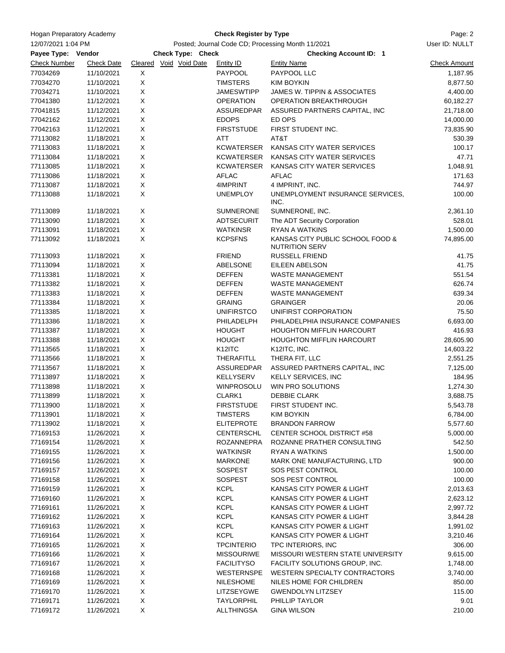| Hogan Preparatory Academy |                          |                                                   | Page: 2                  |                            |                                                           |                      |
|---------------------------|--------------------------|---------------------------------------------------|--------------------------|----------------------------|-----------------------------------------------------------|----------------------|
| 12/07/2021 1:04 PM        |                          | Posted; Journal Code CD; Processing Month 11/2021 | User ID: NULLT           |                            |                                                           |                      |
| Payee Type: Vendor        |                          |                                                   | <b>Check Type: Check</b> |                            | <b>Checking Account ID: 1</b>                             |                      |
| <b>Check Number</b>       | <b>Check Date</b>        | Cleared Void Void Date                            |                          | <b>Entity ID</b>           | <b>Entity Name</b>                                        | <b>Check Amount</b>  |
| 77034269                  | 11/10/2021               | X                                                 |                          | PAYPOOL                    | PAYPOOL LLC                                               | 1,187.95             |
| 77034270                  | 11/10/2021               | X                                                 |                          | <b>TIMSTERS</b>            | <b>KIM BOYKIN</b>                                         | 8,877.50             |
| 77034271                  | 11/10/2021               | X                                                 |                          | <b>JAMESWTIPP</b>          | JAMES W. TIPPIN & ASSOCIATES                              | 4,400.00             |
| 77041380                  | 11/12/2021               | X                                                 |                          | <b>OPERATION</b>           | OPERATION BREAKTHROUGH                                    | 60,182.27            |
| 77041815                  | 11/12/2021               | X                                                 |                          | <b>ASSUREDPAR</b>          | ASSURED PARTNERS CAPITAL, INC                             | 21,718.00            |
| 77042162                  | 11/12/2021               | X                                                 |                          | <b>EDOPS</b>               | ED OPS                                                    | 14,000.00            |
| 77042163                  | 11/12/2021               | X                                                 |                          | <b>FIRSTSTUDE</b>          | FIRST STUDENT INC.                                        | 73,835.90            |
| 77113082                  | 11/18/2021               | X                                                 |                          | ATT                        | AT&T                                                      | 530.39               |
| 77113083                  | 11/18/2021               | X                                                 |                          | <b>KCWATERSER</b>          | KANSAS CITY WATER SERVICES                                | 100.17               |
| 77113084                  | 11/18/2021               | X                                                 |                          | KCWATERSER                 | KANSAS CITY WATER SERVICES                                | 47.71                |
| 77113085                  | 11/18/2021               | X                                                 |                          | KCWATERSER                 | KANSAS CITY WATER SERVICES                                | 1,048.91             |
| 77113086                  | 11/18/2021               | X                                                 |                          | AFLAC                      | AFLAC                                                     | 171.63               |
| 77113087                  | 11/18/2021               | X                                                 |                          | 4IMPRINT                   | 4 IMPRINT, INC.                                           | 744.97               |
| 77113088                  | 11/18/2021               | X                                                 |                          | <b>UNEMPLOY</b>            | UNEMPLOYMENT INSURANCE SERVICES,<br>INC.                  | 100.00               |
| 77113089                  | 11/18/2021               | X                                                 |                          | <b>SUMNERONE</b>           | SUMNERONE, INC.                                           | 2,361.10             |
| 77113090                  | 11/18/2021               | X                                                 |                          | ADTSECURIT                 | The ADT Security Corporation                              | 528.01               |
| 77113091                  | 11/18/2021               | X                                                 |                          | <b>WATKINSR</b>            | <b>RYAN A WATKINS</b>                                     | 1,500.00             |
| 77113092                  | 11/18/2021               | X                                                 |                          | <b>KCPSFNS</b>             | KANSAS CITY PUBLIC SCHOOL FOOD &<br><b>NUTRITION SERV</b> | 74,895.00            |
| 77113093                  | 11/18/2021               | X                                                 |                          | <b>FRIEND</b>              | <b>RUSSELL FRIEND</b>                                     | 41.75                |
| 77113094                  | 11/18/2021               | X                                                 |                          | ABELSONE                   | EILEEN ABELSON                                            | 41.75                |
| 77113381                  | 11/18/2021               | X                                                 |                          | <b>DEFFEN</b>              | WASTE MANAGEMENT                                          | 551.54               |
| 77113382                  | 11/18/2021               | X                                                 |                          | <b>DEFFEN</b>              | <b>WASTE MANAGEMENT</b>                                   | 626.74               |
| 77113383                  | 11/18/2021               | X                                                 |                          | <b>DEFFEN</b>              | <b>WASTE MANAGEMENT</b>                                   | 639.34               |
| 77113384                  | 11/18/2021               | X                                                 |                          | <b>GRAING</b>              | <b>GRAINGER</b>                                           | 20.06                |
| 77113385                  | 11/18/2021               | X                                                 |                          | <b>UNIFIRSTCO</b>          | UNIFIRST CORPORATION                                      | 75.50                |
| 77113386                  | 11/18/2021               | X                                                 |                          | PHILADELPH                 | PHILADELPHIA INSURANCE COMPANIES                          | 6,693.00             |
| 77113387                  | 11/18/2021               | X                                                 |                          | <b>HOUGHT</b>              | <b>HOUGHTON MIFFLIN HARCOURT</b>                          | 416.93               |
| 77113388                  | 11/18/2021               | X                                                 |                          | <b>HOUGHT</b>              | <b>HOUGHTON MIFFLIN HARCOURT</b>                          | 28,605.90            |
| 77113565                  | 11/18/2021               | X                                                 |                          | K <sub>12</sub> ITC        | K12ITC, INC.                                              | 14,603.22            |
| 77113566                  | 11/18/2021               | X                                                 |                          | THERAFITLL                 | THERA FIT, LLC                                            | 2,551.25             |
| 77113567                  | 11/18/2021               | X                                                 |                          | ASSUREDPAR                 | ASSURED PARTNERS CAPITAL, INC                             | 7,125.00             |
| 77113897                  | 11/18/2021               | X                                                 |                          | KELLYSERV                  | KELLY SERVICES, INC                                       | 184.95               |
| 77113898                  | 11/18/2021               | X                                                 |                          | <b>WINPROSOLU</b>          | WIN PRO SOLUTIONS                                         | 1,274.30             |
| 77113899                  | 11/18/2021               | х                                                 |                          | CLARK1                     | <b>DEBBIE CLARK</b>                                       | 3,688.75             |
| 77113900                  | 11/18/2021               | X                                                 |                          | <b>FIRSTSTUDE</b>          | FIRST STUDENT INC.                                        | 5,543.78             |
| 77113901                  | 11/18/2021               | X                                                 |                          | <b>TIMSTERS</b>            | <b>KIM BOYKIN</b>                                         | 6,784.00             |
| 77113902                  | 11/18/2021               | X                                                 |                          | <b>ELITEPROTE</b>          | <b>BRANDON FARROW</b>                                     | 5,577.60             |
| 77169153                  | 11/26/2021               | X                                                 |                          | <b>CENTERSCHL</b>          | CENTER SCHOOL DISTRICT #58                                | 5,000.00             |
| 77169154                  | 11/26/2021               | X                                                 |                          | <b>ROZANNEPRA</b>          | ROZANNE PRATHER CONSULTING                                | 542.50               |
| 77169155                  | 11/26/2021               | X                                                 |                          | <b>WATKINSR</b>            | <b>RYAN A WATKINS</b>                                     | 1,500.00             |
| 77169156                  | 11/26/2021               | X                                                 |                          | <b>MARKONE</b>             | MARK ONE MANUFACTURING, LTD                               | 900.00               |
| 77169157                  | 11/26/2021               | X                                                 |                          | <b>SOSPEST</b>             | SOS PEST CONTROL                                          | 100.00               |
| 77169158                  | 11/26/2021               | X                                                 |                          | SOSPEST                    | SOS PEST CONTROL                                          | 100.00               |
| 77169159                  | 11/26/2021               | X                                                 |                          | <b>KCPL</b>                | KANSAS CITY POWER & LIGHT                                 | 2,013.63             |
| 77169160                  | 11/26/2021               | X<br>X                                            |                          | <b>KCPL</b>                | KANSAS CITY POWER & LIGHT<br>KANSAS CITY POWER & LIGHT    | 2,623.12             |
| 77169161                  | 11/26/2021               |                                                   |                          | <b>KCPL</b>                |                                                           | 2,997.72             |
| 77169162<br>77169163      | 11/26/2021               | X<br>X                                            |                          | <b>KCPL</b><br><b>KCPL</b> | KANSAS CITY POWER & LIGHT<br>KANSAS CITY POWER & LIGHT    | 3,844.28             |
| 77169164                  | 11/26/2021<br>11/26/2021 | X                                                 |                          | <b>KCPL</b>                | KANSAS CITY POWER & LIGHT                                 | 1,991.02<br>3,210.46 |
| 77169165                  | 11/26/2021               | X                                                 |                          | <b>TPCINTERIO</b>          | TPC INTERIORS, INC                                        | 306.00               |
| 77169166                  | 11/26/2021               | X                                                 |                          | <b>MISSOURIWE</b>          | MISSOURI WESTERN STATE UNIVERSITY                         | 9,615.00             |
| 77169167                  | 11/26/2021               | X                                                 |                          | <b>FACILITYSO</b>          | FACILITY SOLUTIONS GROUP, INC.                            | 1,748.00             |
| 77169168                  | 11/26/2021               | X                                                 |                          | WESTERNSPE                 | WESTERN SPECIALTY CONTRACTORS                             | 3,740.00             |
| 77169169                  | 11/26/2021               | X                                                 |                          | <b>NILESHOME</b>           | NILES HOME FOR CHILDREN                                   | 850.00               |
| 77169170                  | 11/26/2021               | X                                                 |                          | LITZSEYGWE                 | <b>GWENDOLYN LITZSEY</b>                                  | 115.00               |
| 77169171                  | 11/26/2021               | X                                                 |                          | <b>TAYLORPHIL</b>          | PHILLIP TAYLOR                                            | 9.01                 |
| 77169172                  | 11/26/2021               | X                                                 |                          | <b>ALLTHINGSA</b>          | <b>GINA WILSON</b>                                        | 210.00               |
|                           |                          |                                                   |                          |                            |                                                           |                      |